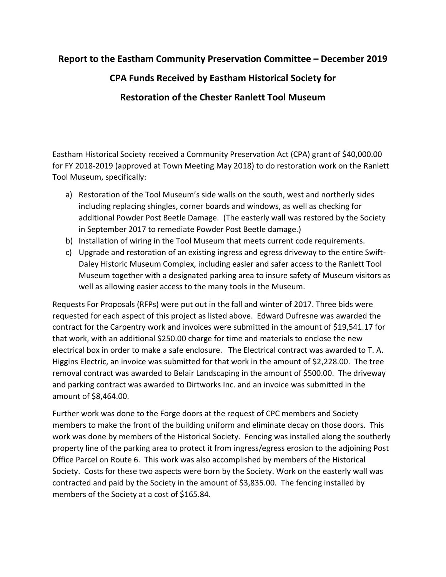## **Report to the Eastham Community Preservation Committee – December 2019**

## **CPA Funds Received by Eastham Historical Society for Restoration of the Chester Ranlett Tool Museum**

Eastham Historical Society received a Community Preservation Act (CPA) grant of \$40,000.00 for FY 2018-2019 (approved at Town Meeting May 2018) to do restoration work on the Ranlett Tool Museum, specifically:

- a) Restoration of the Tool Museum's side walls on the south, west and northerly sides including replacing shingles, corner boards and windows, as well as checking for additional Powder Post Beetle Damage. (The easterly wall was restored by the Society in September 2017 to remediate Powder Post Beetle damage.)
- b) Installation of wiring in the Tool Museum that meets current code requirements.
- c) Upgrade and restoration of an existing ingress and egress driveway to the entire Swift-Daley Historic Museum Complex, including easier and safer access to the Ranlett Tool Museum together with a designated parking area to insure safety of Museum visitors as well as allowing easier access to the many tools in the Museum.

Requests For Proposals (RFPs) were put out in the fall and winter of 2017. Three bids were requested for each aspect of this project as listed above. Edward Dufresne was awarded the contract for the Carpentry work and invoices were submitted in the amount of \$19,541.17 for that work, with an additional \$250.00 charge for time and materials to enclose the new electrical box in order to make a safe enclosure. The Electrical contract was awarded to T. A. Higgins Electric, an invoice was submitted for that work in the amount of \$2,228.00. The tree removal contract was awarded to Belair Landscaping in the amount of \$500.00. The driveway and parking contract was awarded to Dirtworks Inc. and an invoice was submitted in the amount of \$8,464.00.

Further work was done to the Forge doors at the request of CPC members and Society members to make the front of the building uniform and eliminate decay on those doors. This work was done by members of the Historical Society. Fencing was installed along the southerly property line of the parking area to protect it from ingress/egress erosion to the adjoining Post Office Parcel on Route 6. This work was also accomplished by members of the Historical Society. Costs for these two aspects were born by the Society. Work on the easterly wall was contracted and paid by the Society in the amount of \$3,835.00. The fencing installed by members of the Society at a cost of \$165.84.